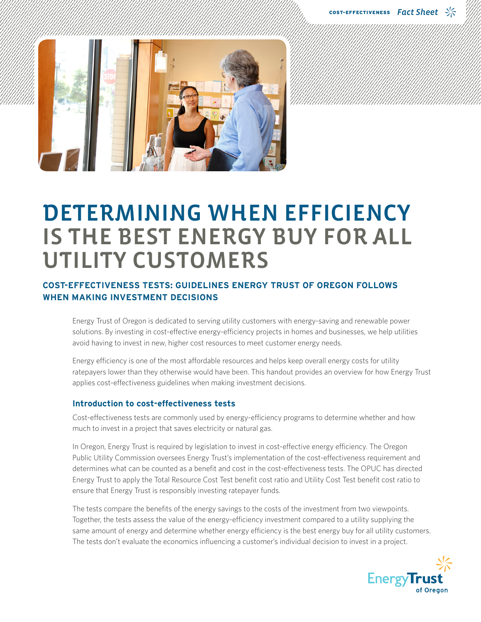

# DETERMINING WHEN EFFICIENCY IS THE BEST ENERGY BUY FOR ALL UTILITY CUSTOMERS

## **COST-EFFECTIVENESS TESTS: GUIDELINES ENERGY TRUST OF OREGON FOLLOWS WHEN MAKING INVESTMENT DECISIONS**

Energy Trust of Oregon is dedicated to serving utility customers with energy-saving and renewable power solutions. By investing in cost-effective energy-efficiency projects in homes and businesses, we help utilities avoid having to invest in new, higher cost resources to meet customer energy needs.

Energy efficiency is one of the most affordable resources and helps keep overall energy costs for utility ratepayers lower than they otherwise would have been. This handout provides an overview for how Energy Trust applies cost-effectiveness guidelines when making investment decisions.

#### **Introduction to cost-effectiveness tests**

Cost-effectiveness tests are commonly used by energy-efficiency programs to determine whether and how much to invest in a project that saves electricity or natural gas.

In Oregon, Energy Trust is required by legislation to invest in cost-effective energy efficiency. The Oregon Public Utility Commission oversees Energy Trust's implementation of the cost-effectiveness requirement and determines what can be counted as a benefit and cost in the cost-effectiveness tests. The OPUC has directed Energy Trust to apply the Total Resource Cost Test benefit cost ratio and Utility Cost Test benefit cost ratio to ensure that Energy Trust is responsibly investing ratepayer funds.

The tests compare the benefits of the energy savings to the costs of the investment from two viewpoints. Together, the tests assess the value of the energy-efficiency investment compared to a utility supplying the same amount of energy and determine whether energy efficiency is the best energy buy for all utility customers. The tests don't evaluate the economics influencing a customer's individual decision to invest in a project.

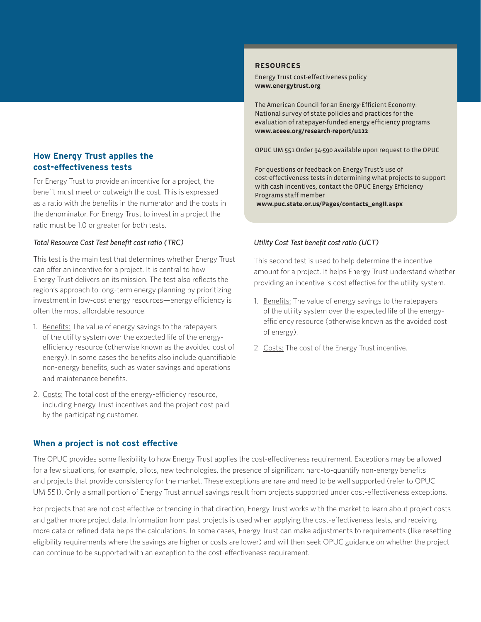#### **How Energy Trust applies the cost-effectiveness tests**

For Energy Trust to provide an incentive for a project, the benefit must meet or outweigh the cost. This is expressed as a ratio with the benefits in the numerator and the costs in the denominator. For Energy Trust to invest in a project the ratio must be 1.0 or greater for both tests.

#### *Total Resource Cost Test benefit cost ratio (TRC)*

This test is the main test that determines whether Energy Trust can offer an incentive for a project. It is central to how Energy Trust delivers on its mission. The test also reflects the region's approach to long-term energy planning by prioritizing investment in low-cost energy resources—energy efficiency is often the most affordable resource.

- 1. Benefits: The value of energy savings to the ratepayers of the utility system over the expected life of the energyefficiency resource (otherwise known as the avoided cost of energy). In some cases the benefits also include quantifiable non-energy benefits, such as water savings and operations and maintenance benefits.
- 2. Costs: The total cost of the energy-efficiency resource, including Energy Trust incentives and the project cost paid by the participating customer.

## **When a project is not cost effective**

#### The OPUC provides some flexibility to how Energy Trust applies the cost-effectiveness requirement. Exceptions may be allowed for a few situations, for example, pilots, new technologies, the presence of significant hard-to-quantify non-energy benefits and projects that provide consistency for the market. These exceptions are rare and need to be well supported (refer to OPUC UM 551). Only a small portion of Energy Trust annual savings result from projects supported under cost-effectiveness exceptions.

For projects that are not cost effective or trending in that direction, Energy Trust works with the market to learn about project costs and gather more project data. Information from past projects is used when applying the cost-effectiveness tests, and receiving more data or refined data helps the calculations. In some cases, Energy Trust can make adjustments to requirements (like resetting eligibility requirements where the savings are higher or costs are lower) and will then seek OPUC guidance on whether the project can continue to be supported with an exception to the cost-effectiveness requirement.

#### **RESOURCES**

Energy Trust cost-effectiveness policy **www.energytrust.org**

The American Council for an Energy-Efficient Economy: National survey of state policies and practices for the evaluation of ratepayer-funded energy efficiency programs **www.aceee.org/research-report/u122**

OPUC UM 551 Order 94-590 available upon request to the OPUC

For questions or feedback on Energy Trust's use of cost-effectiveness tests in determining what projects to support with cash incentives, contact the OPUC Energy Efficiency Programs staff member **www.puc.state.or.us/Pages/contacts\_engII.aspx**

#### *Utility Cost Test benefit cost ratio (UCT)*

This second test is used to help determine the incentive amount for a project. It helps Energy Trust understand whether providing an incentive is cost effective for the utility system.

- 1. Benefits: The value of energy savings to the ratepayers of the utility system over the expected life of the energyefficiency resource (otherwise known as the avoided cost of energy).
- 2. Costs: The cost of the Energy Trust incentive.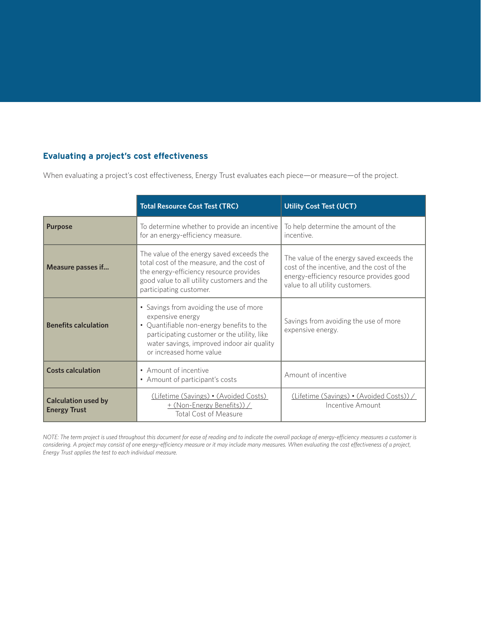### **Evaluating a project's cost effectiveness**

When evaluating a project's cost effectiveness, Energy Trust evaluates each piece—or measure—of the project.

|                                                   | <b>Total Resource Cost Test (TRC)</b>                                                                                                                                                                                            | <b>Utility Cost Test (UCT)</b>                                                                                                                                         |
|---------------------------------------------------|----------------------------------------------------------------------------------------------------------------------------------------------------------------------------------------------------------------------------------|------------------------------------------------------------------------------------------------------------------------------------------------------------------------|
| <b>Purpose</b>                                    | To determine whether to provide an incentive<br>for an energy-efficiency measure.                                                                                                                                                | To help determine the amount of the<br>incentive.                                                                                                                      |
| Measure passes if                                 | The value of the energy saved exceeds the<br>total cost of the measure, and the cost of<br>the energy-efficiency resource provides<br>good value to all utility customers and the<br>participating customer.                     | The value of the energy saved exceeds the<br>cost of the incentive, and the cost of the<br>energy-efficiency resource provides good<br>value to all utility customers. |
| <b>Benefits calculation</b>                       | • Savings from avoiding the use of more<br>expensive energy<br>• Quantifiable non-energy benefits to the<br>participating customer or the utility, like<br>water savings, improved indoor air quality<br>or increased home value | Savings from avoiding the use of more<br>expensive energy.                                                                                                             |
| <b>Costs calculation</b>                          | • Amount of incentive<br>• Amount of participant's costs                                                                                                                                                                         | Amount of incentive                                                                                                                                                    |
| <b>Calculation used by</b><br><b>Energy Trust</b> | (Lifetime (Savings) · (Avoided Costs)<br>+ (Non-Energy Benefits)) /<br><b>Total Cost of Measure</b>                                                                                                                              | (Lifetime (Savings) • (Avoided Costs)) /<br>Incentive Amount                                                                                                           |

*NOTE: The term project is used throughout this document for ease of reading and to indicate the overall package of energy-efficiency measures a customer is considering. A project may consist of one energy-efficiency measure or it may include many measures. When evaluating the cost effectiveness of a project, Energy Trust applies the test to each individual measure.*